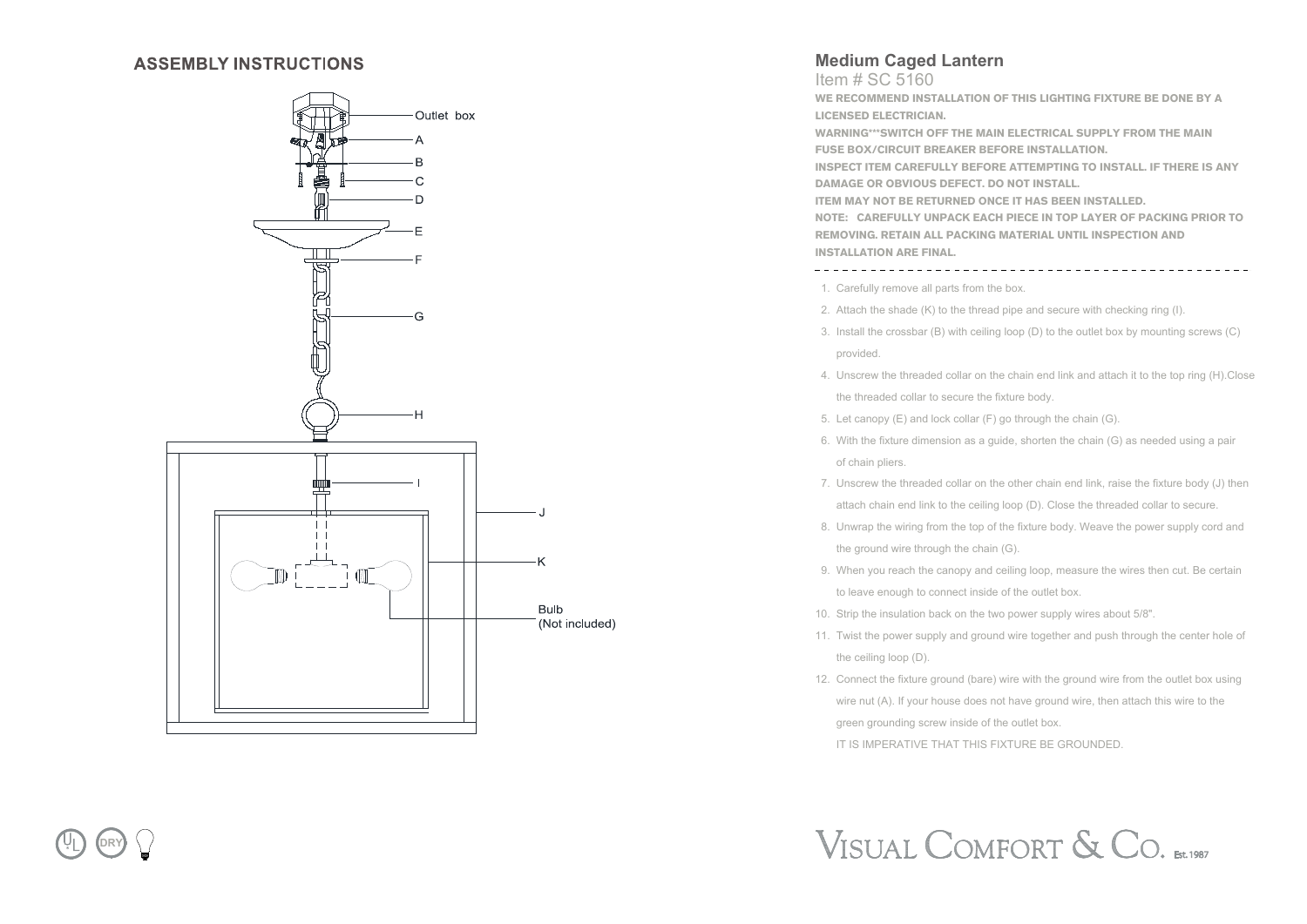#### **ASSEMBLY INSTRUCTIONS**



### **Medium Caged Lantern**

Item # SC 5160

**WE RECOMMEND INSTALLATION OF THIS LIGHTING FIXTURE BE DONE BY A LICENSED ELECTRICIAN.**

**WARNING\*\*\*SWITCH OFF THE MAIN ELECTRICAL SUPPLY FROM THE MAIN FUSE BOX/CIRCUIT BREAKER BEFORE INSTALLATION.**

**INSPECT ITEM CAREFULLY BEFORE ATTEMPTING TO INSTALL. IF THERE IS ANY DAMAGE OR OBVIOUS DEFECT. DO NOT INSTALL.**

**ITEM MAY NOT BE RETURNED ONCE IT HAS BEEN INSTALLED.**

**NOTE: CAREFULLY UNPACK EACH PIECE IN TOP LAYER OF PACKING PRIOR TO REMOVING. RETAIN ALL PACKING MATERIAL UNTIL INSPECTION AND INSTALLATION ARE FINAL.** 

1. Carefully remove all parts from the box.

- 2. Attach the shade (K) to the thread pipe and secure with checking ring (I).
- 3. Install the crossbar (B) with ceiling loop (D) to the outlet box by mounting screws (C) provided.
- 4. Unscrew the threaded collar on the chain end link and attach it to the top ring (H).Close the threaded collar to secure the fixture body.
- 5. Let canopy (E) and lock collar (F) go through the chain (G).
- 6. With the fixture dimension as a guide, shorten the chain (G) as needed using a pair of chain pliers.
- 7. Unscrew the threaded collar on the other chain end link, raise the fixture body (J) then attach chain end link to the ceiling loop (D). Close the threaded collar to secure.
- 8. Unwrap the wiring from the top of the fixture body. Weave the power supply cord and the ground wire through the chain (G).
- 9. When you reach the canopy and ceiling loop, measure the wires then cut. Be certain to leave enough to connect inside of the outlet box.
- 10. Strip the insulation back on the two power supply wires about 5/8".
- 11. Twist the power supply and ground wire together and push through the center hole of the ceiling loop (D).
- 12. Connect the fixture ground (bare) wire with the ground wire from the outlet box using wire nut (A). If your house does not have ground wire, then attach this wire to the green grounding screw inside of the outlet box. IT IS IMPERATIVE THAT THIS FIXTURE BE GROUNDED.

# VISUAL COMFORT & CO. EST.1987